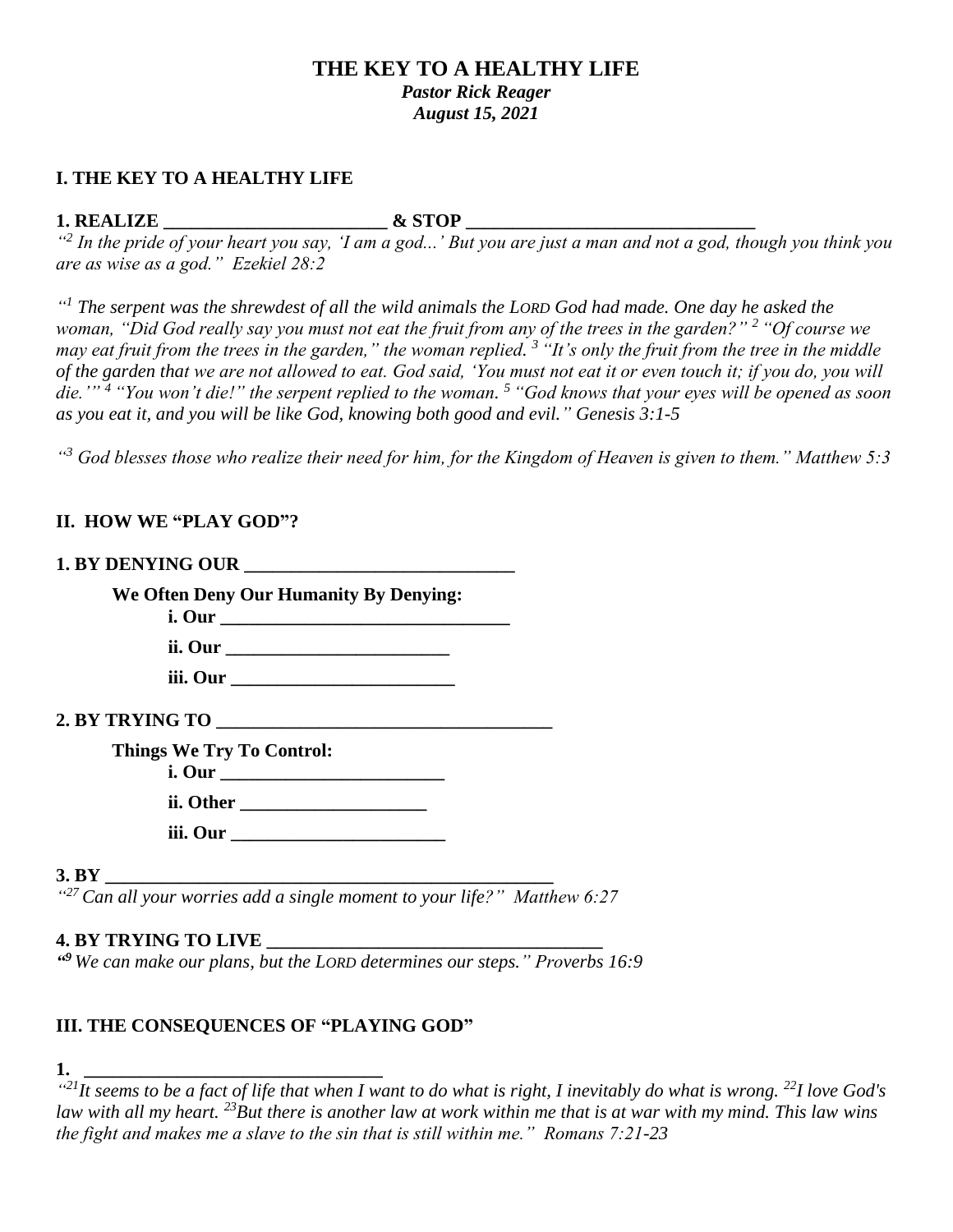# **THE KEY TO A HEALTHY LIFE** *Pastor Rick Reager August 15, 2021*

### **I. THE KEY TO A HEALTHY LIFE**

#### **1. REALIZE \_\_\_\_\_\_\_\_\_\_\_\_\_\_\_\_\_\_\_\_\_\_\_\_ & STOP \_\_\_\_\_\_\_\_\_\_\_\_\_\_\_\_\_\_\_\_\_\_\_\_\_\_\_\_\_\_\_**

<sup>42</sup> In the pride of your heart you say, 'I am a god...' But you are just a man and not a god, though you think you *are as wise as a god." Ezekiel 28:2* 

<sup>"</sup> *Ihe serpent was the shrewdest of all the wild animals the LORD God had made. One day he asked the woman, "Did God really say you must not eat the fruit from any of the trees in the garden?" <sup>2</sup> "Of course we may eat fruit from the trees in the garden," the woman replied. <sup>3</sup> "It's only the fruit from the tree in the middle of the garden that we are not allowed to eat. God said, 'You must not eat it or even touch it; if you do, you will die.'" <sup>4</sup> "You won't die!" the serpent replied to the woman. <sup>5</sup> "God knows that your eyes will be opened as soon as you eat it, and you will be like God, knowing both good and evil." Genesis 3:1-5*

*" <sup>3</sup> God blesses those who realize their need for him, for the Kingdom of Heaven is given to them." Matthew 5:3* 

# **II. HOW WE "PLAY GOD"?**

| We Often Deny Our Humanity By Denying:<br>i. Our |  |
|--------------------------------------------------|--|
|                                                  |  |
|                                                  |  |
|                                                  |  |
| <b>Things We Try To Control:</b>                 |  |
|                                                  |  |
|                                                  |  |
| 3. BY                                            |  |

*" <sup>27</sup>Can all your worries add a single moment to your life?" Matthew 6:27*

#### **4. BY TRYING TO LIVE \_\_\_\_\_\_\_\_\_\_\_\_\_\_\_\_\_\_\_\_\_\_\_\_\_\_\_\_\_\_\_\_\_\_\_\_**

*" <sup>9</sup> We can make our plans, but the LORD determines our steps." Proverbs 16:9*

# **III. THE CONSEQUENCES OF "PLAYING GOD"**

**1. \_\_\_\_\_\_\_\_\_\_\_\_\_\_\_\_\_\_\_\_\_\_\_\_\_\_\_\_\_\_\_\_**

*" <sup>21</sup>It seems to be a fact of life that when I want to do what is right, I inevitably do what is wrong. <sup>22</sup>I love God's law with all my heart. <sup>23</sup>But there is another law at work within me that is at war with my mind. This law wins the fight and makes me a slave to the sin that is still within me." Romans 7:21-23*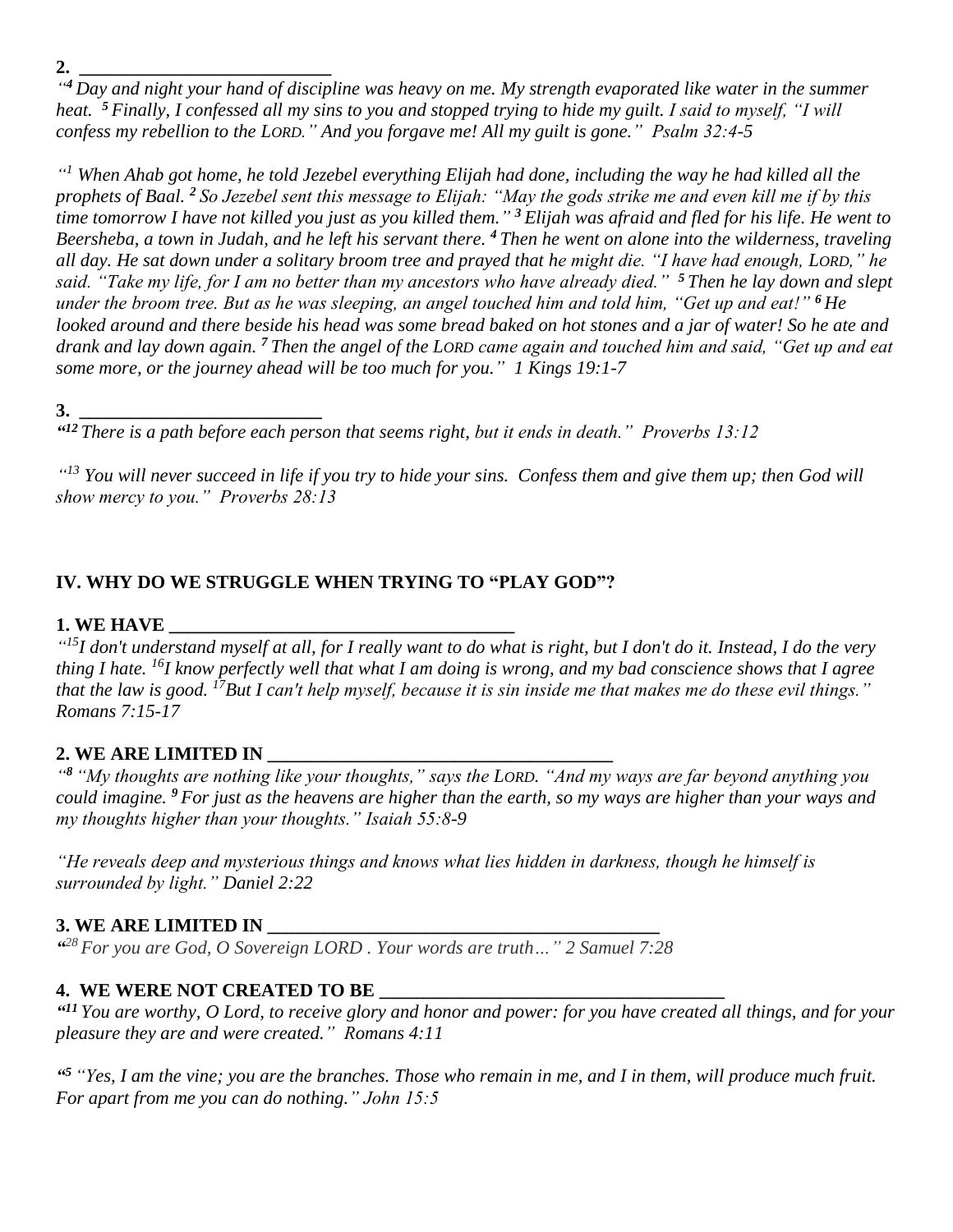*" <sup>4</sup> Day and night your hand of discipline was heavy on me. My strength evaporated like water in the summer heat. <sup>5</sup> Finally, I confessed all my sins to you and stopped trying to hide my guilt. I said to myself, "I will confess my rebellion to the LORD." And you forgave me! All my guilt is gone." Psalm 32:4-5*

*" <sup>1</sup> When Ahab got home, he told Jezebel everything Elijah had done, including the way he had killed all the prophets of Baal. <sup>2</sup> So Jezebel sent this message to Elijah: "May the gods strike me and even kill me if by this time tomorrow I have not killed you just as you killed them." <sup>3</sup> Elijah was afraid and fled for his life. He went to Beersheba, a town in Judah, and he left his servant there. <sup>4</sup> Then he went on alone into the wilderness, traveling all day. He sat down under a solitary broom tree and prayed that he might die. "I have had enough, LORD," he said. "Take my life, for I am no better than my ancestors who have already died." <sup>5</sup> Then he lay down and slept under the broom tree. But as he was sleeping, an angel touched him and told him, "Get up and eat!" <sup>6</sup> He looked around and there beside his head was some bread baked on hot stones and a jar of water! So he ate and drank and lay down again. <sup>7</sup> Then the angel of the LORD came again and touched him and said, "Get up and eat some more, or the journey ahead will be too much for you." 1 Kings 19:1-7*

**3. \_\_\_\_\_\_\_\_\_\_\_\_\_\_\_\_\_\_\_\_\_\_\_\_\_\_**

*" <sup>12</sup> There is a path before each person that seems right, but it ends in death." Proverbs 13:12*

*" <sup>13</sup> You will never succeed in life if you try to hide your sins. Confess them and give them up; then God will show mercy to you." Proverbs 28:13* 

# **IV. WHY DO WE STRUGGLE WHEN TRYING TO "PLAY GOD"?**

#### **1. WE HAVE**

*" <sup>15</sup>I don't understand myself at all, for I really want to do what is right, but I don't do it. Instead, I do the very thing I hate. <sup>16</sup>I know perfectly well that what I am doing is wrong, and my bad conscience shows that I agree that the law is good. <sup>17</sup>But I can't help myself, because it is sin inside me that makes me do these evil things." Romans 7:15-17*

#### **2. WE ARE LIMITED IN \_\_\_\_\_\_\_\_\_\_\_\_\_\_\_\_\_\_\_\_\_\_\_\_\_\_\_\_\_\_\_\_\_\_\_\_\_**

*" <sup>8</sup> "My thoughts are nothing like your thoughts," says the LORD. "And my ways are far beyond anything you could imagine. <sup>9</sup> For just as the heavens are higher than the earth, so my ways are higher than your ways and my thoughts higher than your thoughts." Isaiah 55:8-9*

*"He reveals deep and mysterious things and knows what lies hidden in darkness, though he himself is surrounded by light." Daniel 2:22*

#### **3. WE ARE LIMITED IN \_\_\_\_\_\_\_\_\_\_\_\_\_\_\_\_\_\_\_\_\_\_\_\_\_\_\_\_\_\_\_\_\_\_\_\_\_\_\_\_\_\_**

*" <sup>28</sup> For you are God, O Sovereign LORD . Your words are truth…" 2 Samuel 7:28*

#### **4. WE WERE NOT CREATED TO BE \_\_\_\_\_\_\_\_\_\_\_\_\_\_\_\_\_\_\_\_\_\_\_\_\_\_\_\_\_\_\_\_\_\_\_\_\_**

*" <sup>11</sup> You are worthy, O Lord, to receive glory and honor and power: for you have created all things, and for your pleasure they are and were created." Romans 4:11*

*" <sup>5</sup> "Yes, I am the vine; you are the branches. Those who remain in me, and I in them, will produce much fruit. For apart from me you can do nothing." John 15:5*

**2. \_\_\_\_\_\_\_\_\_\_\_\_\_\_\_\_\_\_\_\_\_\_\_\_\_\_\_**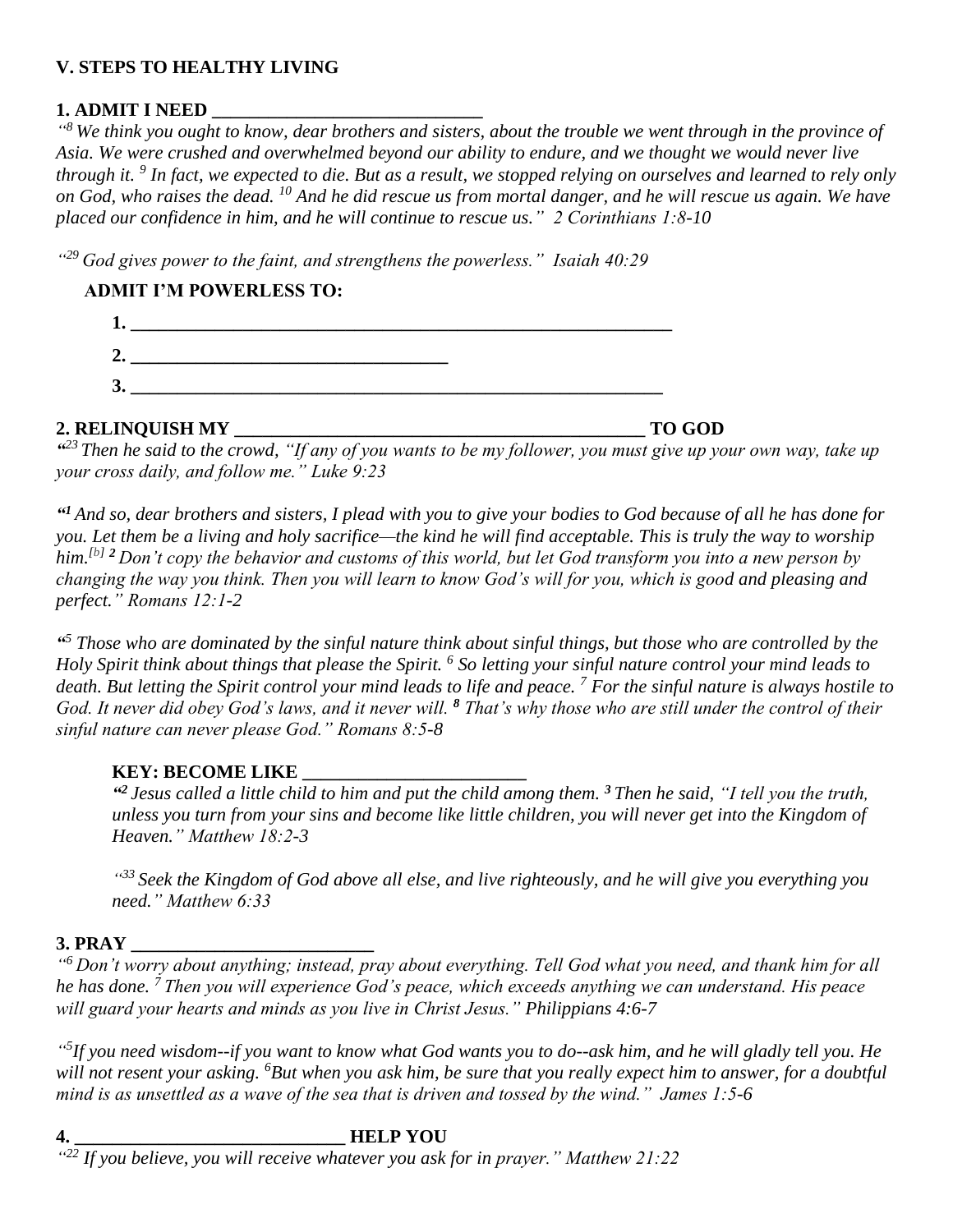# **V. STEPS TO HEALTHY LIVING**

# **1. ADMIT I NEED \_\_\_\_\_\_\_\_\_\_\_\_\_\_\_\_\_\_\_\_\_\_\_\_\_\_\_\_\_**

*" <sup>8</sup> We think you ought to know, dear brothers and sisters, about the trouble we went through in the province of Asia. We were crushed and overwhelmed beyond our ability to endure, and we thought we would never live through it. <sup>9</sup> In fact, we expected to die. But as a result, we stopped relying on ourselves and learned to rely only on God, who raises the dead. <sup>10</sup> And he did rescue us from mortal danger, and he will rescue us again. We have placed our confidence in him, and he will continue to rescue us." 2 Corinthians 1:8-10* 

*" <sup>29</sup>God gives power to the faint, and strengthens the powerless." Isaiah 40:29* 

# **ADMIT I'M POWERLESS TO:**

| ◠       |  |
|---------|--|
| о<br>J. |  |

# **2. RELINQUISH MY \_\_\_\_\_\_\_\_\_\_\_\_\_\_\_\_\_\_\_\_\_\_\_\_\_\_\_\_\_\_\_\_\_\_\_\_\_\_\_\_\_\_\_\_ TO GOD**

*" <sup>23</sup> Then he said to the crowd, "If any of you wants to be my follower, you must give up your own way, take up your cross daily, and follow me." Luke 9:23*

*" <sup>1</sup>And so, dear brothers and sisters, I plead with you to give your bodies to God because of all he has done for you. Let them be a living and holy sacrifice—the kind he will find acceptable. This is truly the way to worship him. [\[b\]](https://www.biblegateway.com/passage/?search=Romans+12%3A1-2&version=NLT#fen-NLT-28208b) <sup>2</sup> Don't copy the behavior and customs of this world, but let God transform you into a new person by changing the way you think. Then you will learn to know God's will for you, which is good and pleasing and perfect." Romans 12:1-2*

*" <sup>5</sup> Those who are dominated by the sinful nature think about sinful things, but those who are controlled by the Holy Spirit think about things that please the Spirit. <sup>6</sup> So letting your sinful nature control your mind leads to death. But letting the Spirit control your mind leads to life and peace. <sup>7</sup> For the sinful nature is always hostile to God. It never did obey God's laws, and it never will. <sup>8</sup> That's why those who are still under the control of their sinful nature can never please God." Romans 8:5-8*

# **KEY: BECOME LIKE \_\_\_\_\_\_\_\_\_\_\_\_\_\_\_\_\_\_\_\_\_\_\_\_**

*" <sup>2</sup> Jesus called a little child to him and put the child among them. <sup>3</sup> Then he said, "I tell you the truth, unless you turn from your sins and become like little children, you will never get into the Kingdom of Heaven." Matthew 18:2-3*

*" <sup>33</sup> Seek the Kingdom of God above all else, and live righteously, and he will give you everything you need." Matthew 6:33*

# **3. PRAY \_\_\_\_\_\_\_\_\_\_\_\_\_\_\_\_\_\_\_\_\_\_\_\_\_\_**

*" <sup>6</sup> Don't worry about anything; instead, pray about everything. Tell God what you need, and thank him for all he has done. <sup>7</sup> Then you will experience God's peace, which exceeds anything we can understand. His peace will guard your hearts and minds as you live in Christ Jesus." Philippians 4:6-7*

*" 5 If you need wisdom--if you want to know what God wants you to do--ask him, and he will gladly tell you. He will not resent your asking. <sup>6</sup>But when you ask him, be sure that you really expect him to answer, for a doubtful mind is as unsettled as a wave of the sea that is driven and tossed by the wind." James 1:5-6* 

**4. \_\_\_\_\_\_\_\_\_\_\_\_\_\_\_\_\_\_\_\_\_\_\_\_\_\_\_\_\_ HELP YOU** *" <sup>22</sup> If you believe, you will receive whatever you ask for in prayer." Matthew 21:22*